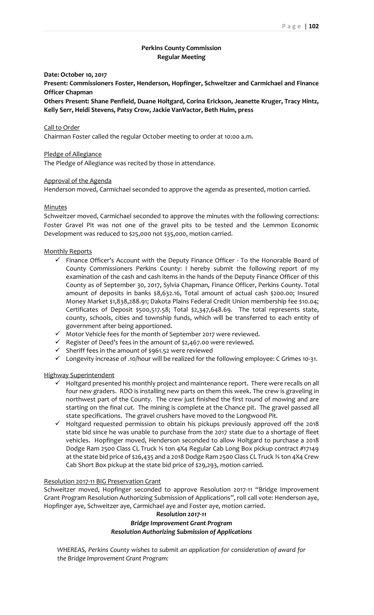# **Perkins County Commission Regular Meeting**

# **Date: October 10, 2017**

**Present: Commissioners Foster, Henderson, Hopfinger, Schweitzer and Carmichael and Finance Officer Chapman**

**Others Present: Shane Penfield, Duane Holtgard, Corina Erickson, Jeanette Kruger, Tracy Hintz, Kelly Serr, Heidi Stevens, Patsy Crow, Jackie VanVactor, Beth Hulm, press**

### Call to Order

Chairman Foster called the regular October meeting to order at 10:00 a.m.

## Pledge of Allegiance

The Pledge of Allegiance was recited by those in attendance.

# Approval of the Agenda

Henderson moved, Carmichael seconded to approve the agenda as presented, motion carried.

# Minutes

Schweitzer moved, Carmichael seconded to approve the minutes with the following corrections: Foster Gravel Pit was not one of the gravel pits to be tested and the Lemmon Economic Development was reduced to \$25,000 not \$35,000, motion carried.

#### Monthly Reports

- $\checkmark$  Finance Officer's Account with the Deputy Finance Officer To the Honorable Board of County Commissioners Perkins County: I hereby submit the following report of my examination of the cash and cash items in the hands of the Deputy Finance Officer of this County as of September 30, 2017, Sylvia Chapman, Finance Officer, Perkins County. Total amount of deposits in banks \$8,632.16, Total amount of actual cash \$200.00; Insured Money Market \$1,838,288.91; Dakota Plains Federal Credit Union membership fee \$10.04; Certificates of Deposit \$500,517.58; Total \$2,347,648.69. The total represents state, county, schools, cities and township funds, which will be transferred to each entity of government after being apportioned.
- ✓ Motor Vehicle fees for the month of September 2017 were reviewed.
- $\checkmark$  Register of Deed's fees in the amount of \$2,467.00 were reviewed.
- $\checkmark$  Sheriff fees in the amount of \$961.52 were reviewed
- ✓ Longevity increase of .10/hour will be realized for the following employee: C Grimes 10-31.

# Highway Superintendent

- $\checkmark$  Holtgard presented his monthly project and maintenance report. There were recalls on all four new graders. RDO is installing new parts on them this week. The crew is graveling in northwest part of the County. The crew just finished the first round of mowing and are starting on the final cut. The mining is complete at the Chance pit. The gravel passed all state specifications. The gravel crushers have moved to the Longwood Pit.
- $\checkmark$  Holtgard requested permission to obtain his pickups previously approved off the 2018 state bid since he was unable to purchase from the 2017 state due to a shortage of fleet vehicles. Hopfinger moved, Henderson seconded to allow Holtgard to purchase a 2018 Dodge Ram 2500 Class CL Truck ¾ ton 4X4 Regular Cab Long Box pickup contract #17149 at the state bid price of \$26,435 and a 2018 Dodge Ram 2500 Class CL Truck ¾ ton 4X4 Crew Cab Short Box pickup at the state bid price of \$29,293, motion carried.

### Resolution 2017-11 BIG Preservation Grant

Schweitzer moved, Hopfinger seconded to approve Resolution 2017-11 "Bridge Improvement Grant Program Resolution Authorizing Submission of Applications", roll call vote: Henderson aye, Hopfinger aye, Schweitzer aye, Carmichael aye and Foster aye, motion carried.

# *Resolution 2017-11*

# *Bridge Improvement Grant Program Resolution Authorizing Submission of Applications*

*WHEREAS, Perkins County wishes to submit an application for consideration of award for the Bridge Improvement Grant Program:*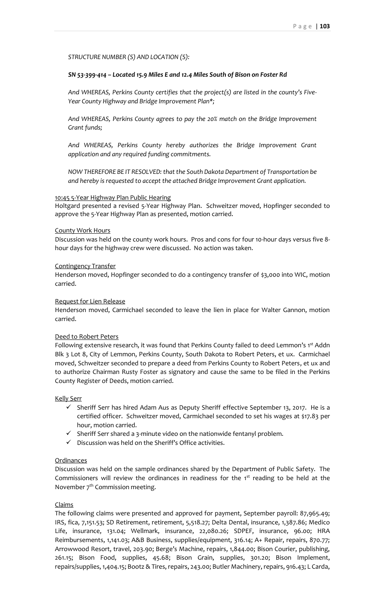*STRUCTURE NUMBER (S) AND LOCATION (S):*

# *SN 53-399-414 – Located 15.9 Miles E and 12.4 Miles South of Bison on Foster Rd*

*And WHEREAS, Perkins County certifies that the project(s) are listed in the county's Five-Year County Highway and Bridge Improvement Plan\*;*

*And WHEREAS, Perkins County agrees to pay the 20% match on the Bridge Improvement Grant funds;*

*And WHEREAS, Perkins County hereby authorizes the Bridge Improvement Grant application and any required funding commitments.*

*NOW THEREFORE BE IT RESOLVED: that the South Dakota Department of Transportation be and hereby is requested to accept the attached Bridge Improvement Grant application.*

### 10:45 5-Year Highway Plan Public Hearing

Holtgard presented a revised 5-Year Highway Plan. Schweitzer moved, Hopfinger seconded to approve the 5-Year Highway Plan as presented, motion carried.

#### County Work Hours

Discussion was held on the county work hours. Pros and cons for four 10-hour days versus five 8 hour days for the highway crew were discussed. No action was taken.

## Contingency Transfer

Henderson moved, Hopfinger seconded to do a contingency transfer of \$3,000 into WIC, motion carried.

### Request for Lien Release

Henderson moved, Carmichael seconded to leave the lien in place for Walter Gannon, motion carried.

# Deed to Robert Peters

Following extensive research, it was found that Perkins County failed to deed Lemmon's 1<sup>st</sup> Addn Blk 3 Lot 8, City of Lemmon, Perkins County, South Dakota to Robert Peters, et ux. Carmichael moved, Schweitzer seconded to prepare a deed from Perkins County to Robert Peters, et ux and to authorize Chairman Rusty Foster as signatory and cause the same to be filed in the Perkins County Register of Deeds, motion carried.

Kelly Serr

- ✓ Sheriff Serr has hired Adam Aus as Deputy Sheriff effective September 13, 2017. He is a certified officer. Schweitzer moved, Carmichael seconded to set his wages at \$17.83 per hour, motion carried.
- $\checkmark$  Sheriff Serr shared a 3-minute video on the nationwide fentanyl problem.
- ✓ Discussion was held on the Sheriff's Office activities.

### Ordinances

Discussion was held on the sample ordinances shared by the Department of Public Safety. The Commissioners will review the ordinances in readiness for the  $1<sup>st</sup>$  reading to be held at the November  $7<sup>th</sup>$  Commission meeting.

### Claims

The following claims were presented and approved for payment, September payroll: 87,965.49; IRS, fica, 7,151.53; SD Retirement, retirement, 5,518.27; Delta Dental, insurance, 1,387.86; Medico Life, insurance, 131.04; Wellmark, insurance, 22,080.26; SDPEF, insurance, 96.00; HRA Reimbursements, 1,141.03; A&B Business, supplies/equipment, 316.14; A+ Repair, repairs, 870.77; Arrowwood Resort, travel, 203.90; Berge's Machine, repairs, 1,844.00; Bison Courier, publishing, 261.15; Bison Food, supplies, 45.68; Bison Grain, supplies, 301.20; Bison Implement, repairs/supplies, 1,404.15; Bootz & Tires, repairs, 243.00; Butler Machinery, repairs, 916.43; L Carda,